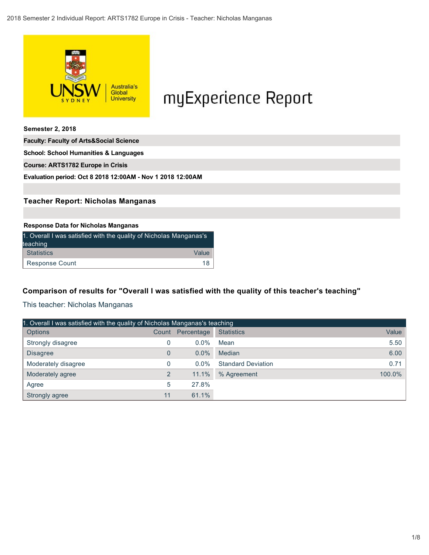

# myExperience Report

**Semester 2, 2018**

**Faculty: Faculty of Arts&Social Science**

**School: School Humanities & Languages Course: ARTS1782 Europe in Crisis**

**Evaluation period: Oct 8 2018 12:00AM - Nov 1 2018 12:00AM**

### **Teacher Report: Nicholas Manganas**

#### **Response Data for Nicholas Manganas**

| 1. Overall I was satisfied with the quality of Nicholas Manganas's<br>teaching |       |
|--------------------------------------------------------------------------------|-------|
| Statistics                                                                     | Value |
| Response Count                                                                 | 18    |

### **Comparison of results for "Overall I was satisfied with the quality of this teacher's teaching"**

This teacher: Nicholas Manganas

| 1. Overall I was satisfied with the quality of Nicholas Manganas's teaching |                |            |                           |        |  |  |
|-----------------------------------------------------------------------------|----------------|------------|---------------------------|--------|--|--|
| <b>Options</b>                                                              | Count          | Percentage | <b>Statistics</b>         | Value  |  |  |
| Strongly disagree                                                           | 0              | $0.0\%$    | Mean                      | 5.50   |  |  |
| <b>Disagree</b>                                                             | 0              | $0.0\%$    | Median                    | 6.00   |  |  |
| Moderately disagree                                                         | 0              | $0.0\%$    | <b>Standard Deviation</b> | 0.71   |  |  |
| Moderately agree                                                            | $\overline{2}$ | 11.1%      | % Agreement               | 100.0% |  |  |
| Agree                                                                       | 5              | 27.8%      |                           |        |  |  |
| Strongly agree                                                              | 11             | 61.1%      |                           |        |  |  |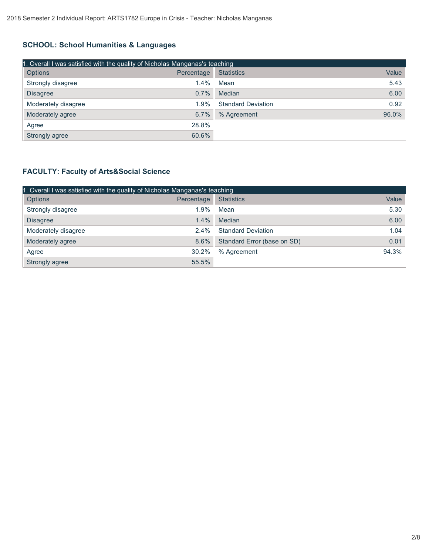# **SCHOOL: School Humanities & Languages**

| 1. Overall I was satisfied with the quality of Nicholas Manganas's teaching |            |                           |       |  |  |  |
|-----------------------------------------------------------------------------|------------|---------------------------|-------|--|--|--|
| Options                                                                     | Percentage | <b>Statistics</b>         | Value |  |  |  |
| Strongly disagree                                                           | $1.4\%$    | Mean                      | 5.43  |  |  |  |
| <b>Disagree</b>                                                             | 0.7%       | Median                    | 6.00  |  |  |  |
| Moderately disagree                                                         | 1.9%       | <b>Standard Deviation</b> | 0.92  |  |  |  |
| Moderately agree                                                            | 6.7%       | % Agreement               | 96.0% |  |  |  |
| Agree                                                                       | 28.8%      |                           |       |  |  |  |
| Strongly agree                                                              | 60.6%      |                           |       |  |  |  |

# **FACULTY: Faculty of Arts&Social Science**

| 1. Overall I was satisfied with the quality of Nicholas Manganas's teaching |            |                             |       |  |  |  |
|-----------------------------------------------------------------------------|------------|-----------------------------|-------|--|--|--|
| <b>Options</b>                                                              | Percentage | <b>Statistics</b>           | Value |  |  |  |
| Strongly disagree                                                           | 1.9%       | Mean                        | 5.30  |  |  |  |
| <b>Disagree</b>                                                             | 1.4%       | Median                      | 6.00  |  |  |  |
| Moderately disagree                                                         | $2.4\%$    | <b>Standard Deviation</b>   | 1.04  |  |  |  |
| Moderately agree                                                            | 8.6%       | Standard Error (base on SD) | 0.01  |  |  |  |
| Agree                                                                       | 30.2%      | % Agreement                 | 94.3% |  |  |  |
| Strongly agree                                                              | 55.5%      |                             |       |  |  |  |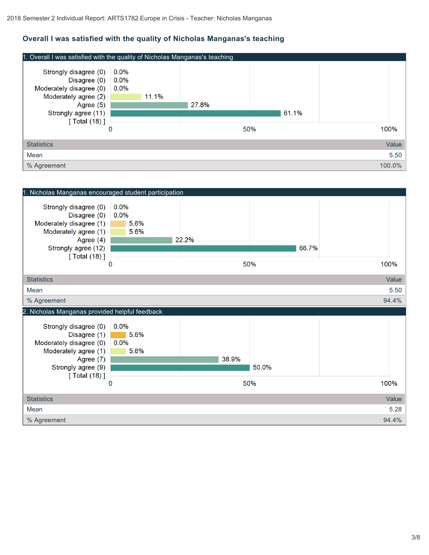# **Overall I was satisfied with the quality of Nicholas Manganas's teaching**



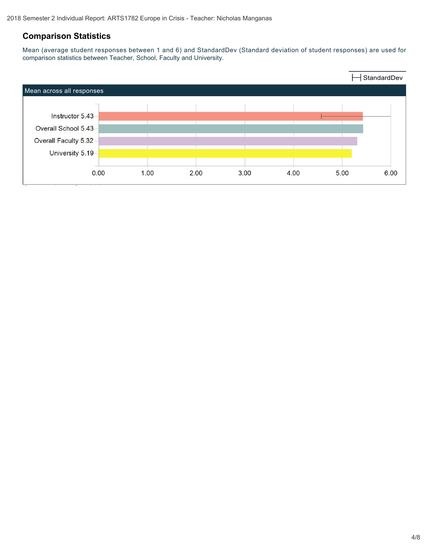# **Comparison Statistics**

Mean (average student responses between 1 and 6) and StandardDev (Standard deviation of student responses) are used for comparison statistics between Teacher, School, Faculty and University.

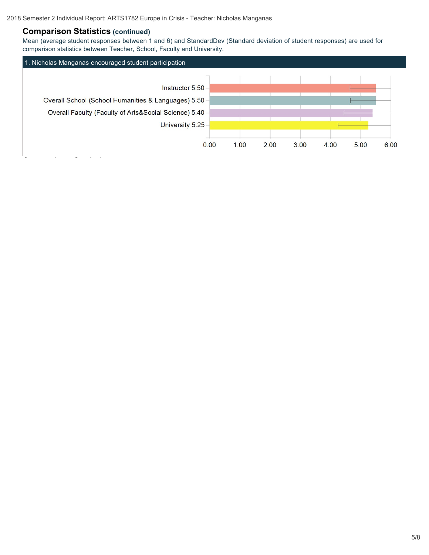## **Comparison Statistics (continued)**

**Comparison Statistics (continued)**

Mean (average student responses between 1 and 6) and StandardDev (Standard deviation of student responses) are used for comparison statistics between Teacher, School, Faculty and University.

| 1. Nicholas Manganas encouraged student participation |      |      |      |      |              |      |
|-------------------------------------------------------|------|------|------|------|--------------|------|
|                                                       |      |      |      |      |              |      |
| Instructor 5.50                                       |      |      |      |      |              |      |
| Overall School (School Humanities & Languages) 5.50-  |      |      |      |      |              |      |
| Overall Faculty (Faculty of Arts&Social Science) 5.40 |      |      |      |      |              |      |
| University 5.25                                       |      |      |      |      |              |      |
|                                                       |      |      |      |      |              |      |
|                                                       | 0.00 | 1.00 | 2.00 | 3.00 | 4.00<br>5.00 | 6.00 |
|                                                       |      |      |      |      |              |      |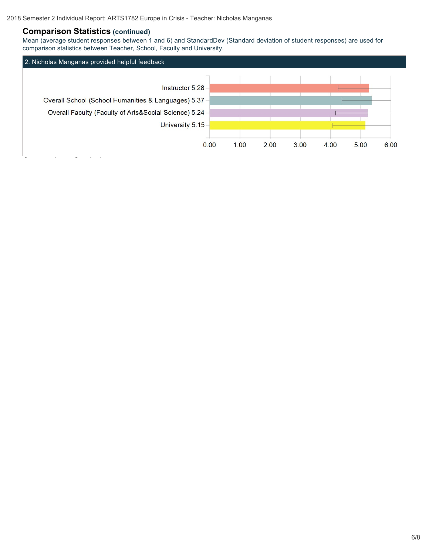## **Comparison Statistics (continued)**

**Comparison Statistics (continued)**

Mean (average student responses between 1 and 6) and StandardDev (Standard deviation of student responses) are used for comparison statistics between Teacher, School, Faculty and University.

| 2. Nicholas Manganas provided helpful feedback        |      |      |      |      |      |      |
|-------------------------------------------------------|------|------|------|------|------|------|
|                                                       |      |      |      |      |      |      |
| Instructor 5.28                                       |      |      |      |      |      |      |
| Overall School (School Humanities & Languages) 5.37 - |      |      |      |      |      |      |
| Overall Faculty (Faculty of Arts&Social Science) 5.24 |      |      |      |      |      |      |
| University 5.15                                       |      |      |      |      |      |      |
|                                                       |      |      |      |      |      |      |
| 0.00                                                  | 1.00 | 2.00 | 3.00 | 4.00 | 5.00 | 6.00 |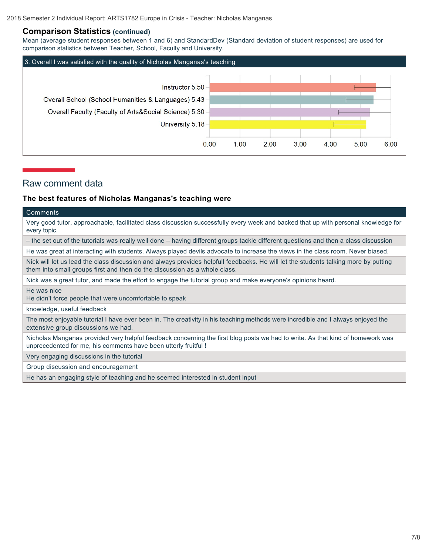#### **Comparison Statistics (continued)**

Mean (average student responses between 1 and 6) and StandardDev (Standard deviation of student responses) are used for comparison statistics between Teacher, School, Faculty and University.



## Raw comment data

#### **The best features of Nicholas Manganas's teaching were**

#### **Comments**

Very good tutor, approachable, facilitated class discussion successfully every week and backed that up with personal knowledge for every topic.

– the set out of the tutorials was really well done – having different groups tackle different questions and then a class discussion

He was great at interacting with students. Always played devils advocate to increase the views in the class room. Never biased.

Nick will let us lead the class discussion and always provides helpfull feedbacks. He will let the students talking more by putting them into small groups first and then do the discussion as a whole class.

Nick was a great tutor, and made the effort to engage the tutorial group and make everyone's opinions heard.

He was nice

He didn't force people that were uncomfortable to speak

knowledge, useful feedback

The most enjoyable tutorial I have ever been in. The creativity in his teaching methods were incredible and I always enjoyed the extensive group discussions we had.

Nicholas Manganas provided very helpful feedback concerning the first blog posts we had to write. As that kind of homework was unprecedented for me, his comments have been utterly fruitful !

Very engaging discussions in the tutorial

Group discussion and encouragement

He has an engaging style of teaching and he seemed interested in student input